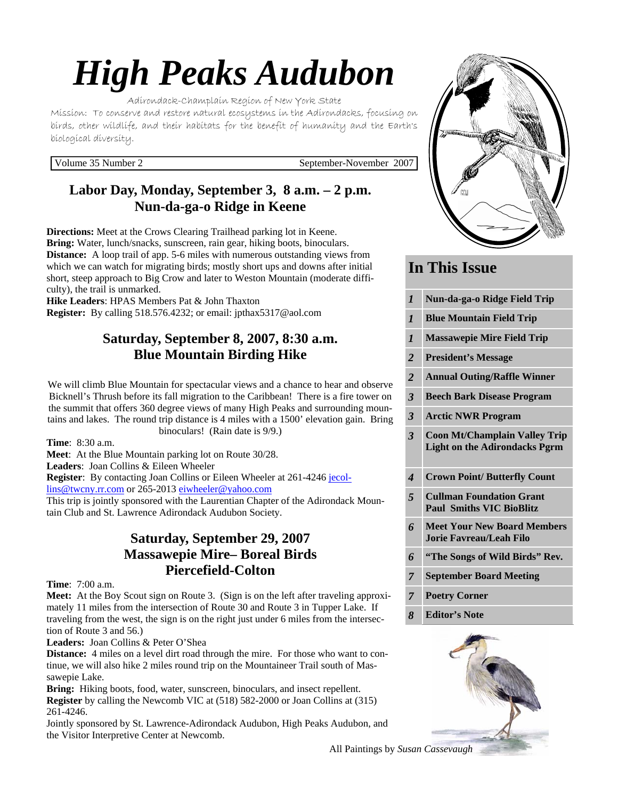# *High Peaks Audubon*

Adirondack-Champlain Region of New York State

Mission: To conserve and restore natural ecosystems in the Adirondacks, focusing on birds, other wildlife, and their habitats for the benefit of humanity and the Earth's biological diversity.

Volume 35 Number 2 September-November 2007

# **Labor Day, Monday, September 3, 8 a.m. – 2 p.m. Nun-da-ga-o Ridge in Keene**

**Directions:** Meet at the Crows Clearing Trailhead parking lot in Keene. **Bring:** Water, lunch/snacks, sunscreen, rain gear, hiking boots, binoculars. **Distance:** A loop trail of app. 5-6 miles with numerous outstanding views from which we can watch for migrating birds; mostly short ups and downs after initial short, steep approach to Big Crow and later to Weston Mountain (moderate difficulty), the trail is unmarked.

**Hike Leaders**: HPAS Members Pat & John Thaxton **Register:** By calling 518.576.4232; or email: jpthax5317@aol.com

## **Saturday, September 8, 2007, 8:30 a.m. Blue Mountain Birding Hike**

We will climb Blue Mountain for spectacular views and a chance to hear and observe Bicknell's Thrush before its fall migration to the Caribbean! There is a fire tower on the summit that offers 360 degree views of many High Peaks and surrounding mountains and lakes. The round trip distance is 4 miles with a 1500' elevation gain. Bring binoculars! (Rain date is 9/9.)

**Time**: 8:30 a.m.

**Meet**: At the Blue Mountain parking lot on Route 30/28.

**Leaders**: Joan Collins & Eileen Wheeler

**Register**: By contacting Joan Collins or Eileen Wheeler at 261-4246 jecol-

lins@twcny.rr.com or 265-2013 eiwheeler@yahoo.com

This trip is jointly sponsored with the Laurentian Chapter of the Adirondack Mountain Club and St. Lawrence Adirondack Audubon Society.

## **Saturday, September 29, 2007 Massawepie Mire– Boreal Birds Piercefield-Colton**

**Time**: 7:00 a.m.

**Meet:** At the Boy Scout sign on Route 3. (Sign is on the left after traveling approximately 11 miles from the intersection of Route 30 and Route 3 in Tupper Lake. If traveling from the west, the sign is on the right just under 6 miles from the intersection of Route 3 and 56.)

**Leaders:** Joan Collins & Peter O'Shea

**Distance:** 4 miles on a level dirt road through the mire. For those who want to continue, we will also hike 2 miles round trip on the Mountaineer Trail south of Massawepie Lake.

**Bring:** Hiking boots, food, water, sunscreen, binoculars, and insect repellent. **Register** by calling the Newcomb VIC at (518) 582-2000 or Joan Collins at (315) 261-4246.

Jointly sponsored by St. Lawrence-Adirondack Audubon, High Peaks Audubon, and the Visitor Interpretive Center at Newcomb.



# **In This Issue**

| $\boldsymbol{l}$        | Nun-da-ga-o Ridge Field Trip                                                 |
|-------------------------|------------------------------------------------------------------------------|
| $\mathbf{I}$            | <b>Blue Mountain Field Trip</b>                                              |
| $\boldsymbol{l}$        | <b>Massawepie Mire Field Trip</b>                                            |
| $\overline{2}$          | <b>President's Message</b>                                                   |
| $\overline{2}$          | <b>Annual Outing/Raffle Winner</b>                                           |
| $\overline{\mathbf{3}}$ | <b>Beech Bark Disease Program</b>                                            |
| $\overline{\mathbf{3}}$ | <b>Arctic NWR Program</b>                                                    |
| $\overline{\mathbf{3}}$ | <b>Coon Mt/Champlain Valley Trip</b><br><b>Light on the Adirondacks Pgrm</b> |
| $\boldsymbol{4}$        | <b>Crown Point/Butterfly Count</b>                                           |
| 5                       | <b>Cullman Foundation Grant</b><br><b>Paul Smiths VIC BioBlitz</b>           |
| 6                       |                                                                              |
|                         | <b>Meet Your New Board Members</b><br><b>Jorie Favreau/Leah Filo</b>         |
| 6                       | "The Songs of Wild Birds" Rev.                                               |
| $\overline{7}$          | <b>September Board Meeting</b>                                               |

*8* **Editor's Note** 



All Paintings by *Susan Cassevaugh*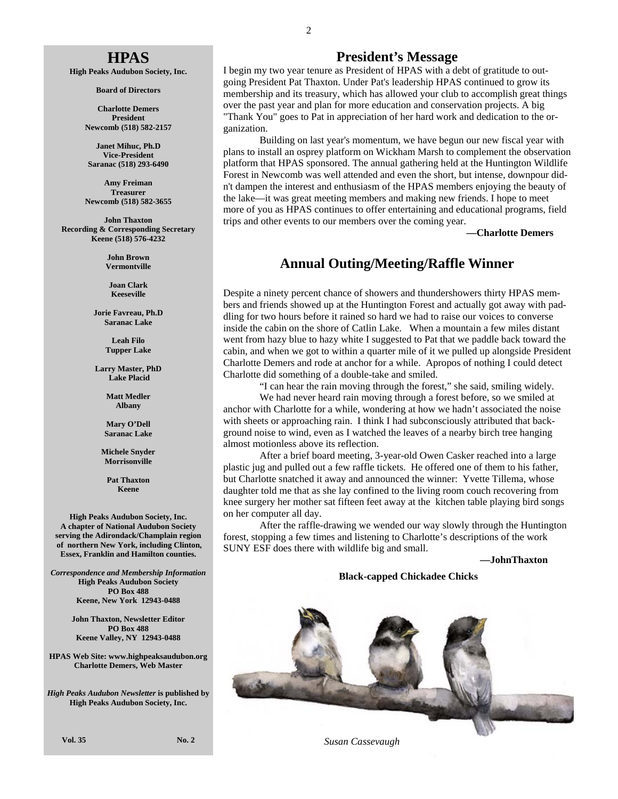#### **HPAS**

**High Peaks Audubon Society, Inc.** 

**Board of Directors** 

**Charlotte Demers President Newcomb (518) 582-2157** 

**Janet Mihuc, Ph.D Vice-President Saranac (518) 293-6490** 

**Amy Freiman Treasurer Newcomb (518) 582-3655** 

**John Thaxton Recording & Corresponding Secretary Keene (518) 576-4232** 

> **John Brown Vermontville**

**Joan Clark Keeseville** 

**Jorie Favreau, Ph.D Saranac Lake** 

> **Leah Filo Tupper Lake**

**Larry Master, PhD Lake Placid** 

> **Matt Medler Albany**

**Mary O'Dell Saranac Lake** 

**Michele Snyder Morrisonville** 

> **Pat Thaxton Keene**

**High Peaks Audubon Society, Inc. A chapter of National Audubon Society serving the Adirondack/Champlain region of northern New York, including Clinton, Essex, Franklin and Hamilton counties.** 

*Correspondence and Membership Information* **High Peaks Audubon Society PO Box 488 Keene, New York 12943-0488** 

> **John Thaxton, Newsletter Editor PO Box 488 Keene Valley, NY 12943-0488**

**HPAS Web Site: www.highpeaksaudubon.org Charlotte Demers, Web Master** 

*High Peaks Audubon Newsletter* **is published by High Peaks Audubon Society, Inc.** 

**President's Message**

I begin my two year tenure as President of HPAS with a debt of gratitude to outgoing President Pat Thaxton. Under Pat's leadership HPAS continued to grow its membership and its treasury, which has allowed your club to accomplish great things over the past year and plan for more education and conservation projects. A big "Thank You" goes to Pat in appreciation of her hard work and dedication to the organization.

 Building on last year's momentum, we have begun our new fiscal year with plans to install an osprey platform on Wickham Marsh to complement the observation platform that HPAS sponsored. The annual gathering held at the Huntington Wildlife Forest in Newcomb was well attended and even the short, but intense, downpour didn't dampen the interest and enthusiasm of the HPAS members enjoying the beauty of the lake—it was great meeting members and making new friends. I hope to meet more of you as HPAS continues to offer entertaining and educational programs, field trips and other events to our members over the coming year.

**—Charlotte Demers** 

#### **Annual Outing/Meeting/Raffle Winner**

Despite a ninety percent chance of showers and thundershowers thirty HPAS members and friends showed up at the Huntington Forest and actually got away with paddling for two hours before it rained so hard we had to raise our voices to converse inside the cabin on the shore of Catlin Lake. When a mountain a few miles distant went from hazy blue to hazy white I suggested to Pat that we paddle back toward the cabin, and when we got to within a quarter mile of it we pulled up alongside President Charlotte Demers and rode at anchor for a while. Apropos of nothing I could detect Charlotte did something of a double-take and smiled.

"I can hear the rain moving through the forest," she said, smiling widely.

 We had never heard rain moving through a forest before, so we smiled at anchor with Charlotte for a while, wondering at how we hadn't associated the noise with sheets or approaching rain. I think I had subconsciously attributed that background noise to wind, even as I watched the leaves of a nearby birch tree hanging almost motionless above its reflection.

 After a brief board meeting, 3-year-old Owen Casker reached into a large plastic jug and pulled out a few raffle tickets. He offered one of them to his father, but Charlotte snatched it away and announced the winner: Yvette Tillema, whose daughter told me that as she lay confined to the living room couch recovering from knee surgery her mother sat fifteen feet away at the kitchen table playing bird songs on her computer all day.

 After the raffle-drawing we wended our way slowly through the Huntington forest, stopping a few times and listening to Charlotte's descriptions of the work SUNY ESF does there with wildlife big and small.

**—JohnThaxton**

#### **Black-capped Chickadee Chicks**



 *Susan Cassevaugh*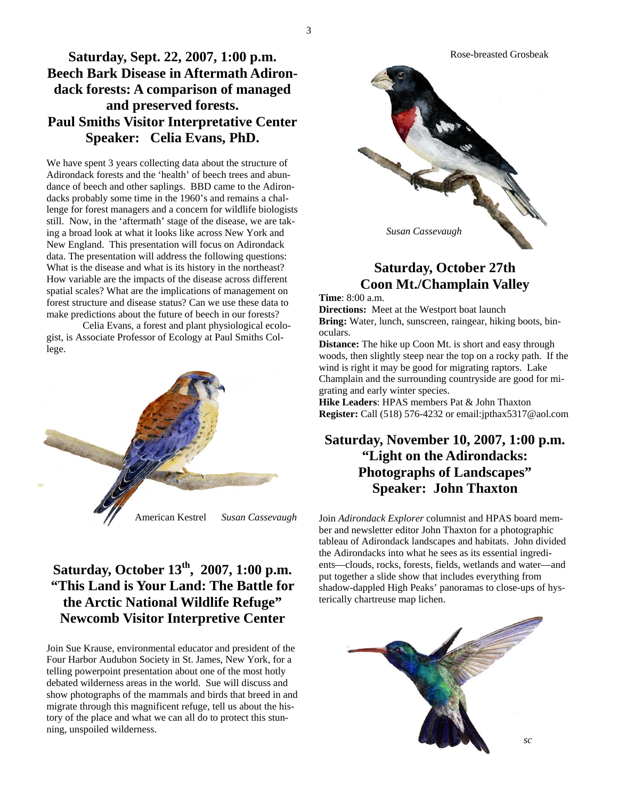## **Saturday, Sept. 22, 2007, 1:00 p.m. Beech Bark Disease in Aftermath Adirondack forests: A comparison of managed and preserved forests. Paul Smiths Visitor Interpretative Center Speaker: Celia Evans, PhD.**

We have spent 3 years collecting data about the structure of Adirondack forests and the 'health' of beech trees and abundance of beech and other saplings. BBD came to the Adirondacks probably some time in the 1960's and remains a challenge for forest managers and a concern for wildlife biologists still. Now, in the 'aftermath' stage of the disease, we are taking a broad look at what it looks like across New York and New England. This presentation will focus on Adirondack data. The presentation will address the following questions: What is the disease and what is its history in the northeast? How variable are the impacts of the disease across different spatial scales? What are the implications of management on forest structure and disease status? Can we use these data to make predictions about the future of beech in our forests?

 Celia Evans, a forest and plant physiological ecologist, is Associate Professor of Ecology at Paul Smiths College.



# **Saturday, October 13th, 2007, 1:00 p.m. "This Land is Your Land: The Battle for the Arctic National Wildlife Refuge" Newcomb Visitor Interpretive Center**

Join Sue Krause, environmental educator and president of the Four Harbor Audubon Society in St. James, New York, for a telling powerpoint presentation about one of the most hotly debated wilderness areas in the world. Sue will discuss and show photographs of the mammals and birds that breed in and migrate through this magnificent refuge, tell us about the history of the place and what we can all do to protect this stunning, unspoiled wilderness.



# **Saturday, October 27th Coon Mt./Champlain Valley**

**Time**: 8:00 a.m.

**Directions:** Meet at the Westport boat launch **Bring:** Water, lunch, sunscreen, raingear, hiking boots, binoculars.

**Distance:** The hike up Coon Mt. is short and easy through woods, then slightly steep near the top on a rocky path. If the wind is right it may be good for migrating raptors. Lake Champlain and the surrounding countryside are good for migrating and early winter species.

**Hike Leaders**: HPAS members Pat & John Thaxton **Register:** Call (518) 576-4232 or email:jpthax5317@aol.com

## **Saturday, November 10, 2007, 1:00 p.m. "Light on the Adirondacks: Photographs of Landscapes" Speaker: John Thaxton**

Join *Adirondack Explorer* columnist and HPAS board member and newsletter editor John Thaxton for a photographic tableau of Adirondack landscapes and habitats. John divided the Adirondacks into what he sees as its essential ingredients—clouds, rocks, forests, fields, wetlands and water—and put together a slide show that includes everything from shadow-dappled High Peaks' panoramas to close-ups of hysterically chartreuse map lichen.

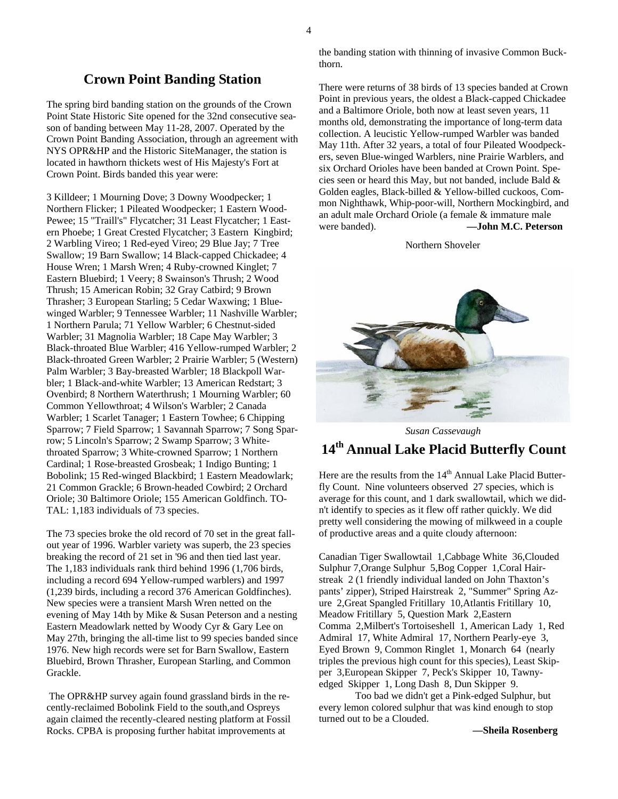#### **Crown Point Banding Station**

The spring bird banding station on the grounds of the Crown Point State Historic Site opened for the 32nd consecutive season of banding between May 11-28, 2007. Operated by the Crown Point Banding Association, through an agreement with NYS OPR&HP and the Historic SiteManager, the station is located in hawthorn thickets west of His Majesty's Fort at Crown Point. Birds banded this year were:

3 Killdeer; 1 Mourning Dove; 3 Downy Woodpecker; 1 Northern Flicker; 1 Pileated Woodpecker; 1 Eastern Wood-Pewee; 15 "Traill's" Flycatcher; 31 Least Flycatcher; 1 Eastern Phoebe; 1 Great Crested Flycatcher; 3 Eastern Kingbird; 2 Warbling Vireo; 1 Red-eyed Vireo; 29 Blue Jay; 7 Tree Swallow; 19 Barn Swallow; 14 Black-capped Chickadee; 4 House Wren; 1 Marsh Wren; 4 Ruby-crowned Kinglet; 7 Eastern Bluebird; 1 Veery; 8 Swainson's Thrush; 2 Wood Thrush; 15 American Robin; 32 Gray Catbird; 9 Brown Thrasher; 3 European Starling; 5 Cedar Waxwing; 1 Bluewinged Warbler; 9 Tennessee Warbler; 11 Nashville Warbler; 1 Northern Parula; 71 Yellow Warbler; 6 Chestnut-sided Warbler; 31 Magnolia Warbler; 18 Cape May Warbler; 3 Black-throated Blue Warbler; 416 Yellow-rumped Warbler; 2 Black-throated Green Warbler; 2 Prairie Warbler; 5 (Western) Palm Warbler; 3 Bay-breasted Warbler; 18 Blackpoll Warbler; 1 Black-and-white Warbler; 13 American Redstart; 3 Ovenbird; 8 Northern Waterthrush; 1 Mourning Warbler; 60 Common Yellowthroat; 4 Wilson's Warbler; 2 Canada Warbler; 1 Scarlet Tanager; 1 Eastern Towhee; 6 Chipping Sparrow; 7 Field Sparrow; 1 Savannah Sparrow; 7 Song Sparrow; 5 Lincoln's Sparrow; 2 Swamp Sparrow; 3 Whitethroated Sparrow; 3 White-crowned Sparrow; 1 Northern Cardinal; 1 Rose-breasted Grosbeak; 1 Indigo Bunting; 1 Bobolink; 15 Red-winged Blackbird; 1 Eastern Meadowlark; 21 Common Grackle; 6 Brown-headed Cowbird; 2 Orchard Oriole; 30 Baltimore Oriole; 155 American Goldfinch. TO-TAL: 1,183 individuals of 73 species.

The 73 species broke the old record of 70 set in the great fallout year of 1996. Warbler variety was superb, the 23 species breaking the record of 21 set in '96 and then tied last year. The 1,183 individuals rank third behind 1996 (1,706 birds, including a record 694 Yellow-rumped warblers) and 1997 (1,239 birds, including a record 376 American Goldfinches). New species were a transient Marsh Wren netted on the evening of May 14th by Mike & Susan Peterson and a nesting Eastern Meadowlark netted by Woody Cyr & Gary Lee on May 27th, bringing the all-time list to 99 species banded since 1976. New high records were set for Barn Swallow, Eastern Bluebird, Brown Thrasher, European Starling, and Common Grackle.

 The OPR&HP survey again found grassland birds in the recently-reclaimed Bobolink Field to the south,and Ospreys again claimed the recently-cleared nesting platform at Fossil Rocks. CPBA is proposing further habitat improvements at

the banding station with thinning of invasive Common Buckthorn.

There were returns of 38 birds of 13 species banded at Crown Point in previous years, the oldest a Black-capped Chickadee and a Baltimore Oriole, both now at least seven years, 11 months old, demonstrating the importance of long-term data collection. A leucistic Yellow-rumped Warbler was banded May 11th. After 32 years, a total of four Pileated Woodpeckers, seven Blue-winged Warblers, nine Prairie Warblers, and six Orchard Orioles have been banded at Crown Point. Species seen or heard this May, but not banded, include Bald & Golden eagles, Black-billed & Yellow-billed cuckoos, Common Nighthawk, Whip-poor-will, Northern Mockingbird, and an adult male Orchard Oriole (a female & immature male were banded). **—John M.C. Peterson**

#### Northern Shoveler



 *Susan Cassevaugh* 

## **14th Annual Lake Placid Butterfly Count**

Here are the results from the 14<sup>th</sup> Annual Lake Placid Butterfly Count. Nine volunteers observed 27 species, which is average for this count, and 1 dark swallowtail, which we didn't identify to species as it flew off rather quickly. We did pretty well considering the mowing of milkweed in a couple of productive areas and a quite cloudy afternoon:

Canadian Tiger Swallowtail 1,Cabbage White 36,Clouded Sulphur 7,Orange Sulphur 5,Bog Copper 1,Coral Hairstreak 2 (1 friendly individual landed on John Thaxton's pants' zipper), Striped Hairstreak 2, "Summer" Spring Azure 2,Great Spangled Fritillary 10,Atlantis Fritillary 10, Meadow Fritillary 5, Question Mark 2,Eastern Comma 2,Milbert's Tortoiseshell 1, American Lady 1, Red Admiral 17, White Admiral 17, Northern Pearly-eye 3, Eyed Brown 9, Common Ringlet 1, Monarch 64 (nearly triples the previous high count for this species), Least Skipper 3,European Skipper 7, Peck's Skipper 10, Tawnyedged Skipper 1, Long Dash 8, Dun Skipper 9.

 Too bad we didn't get a Pink-edged Sulphur, but every lemon colored sulphur that was kind enough to stop turned out to be a Clouded.

 **—Sheila Rosenberg**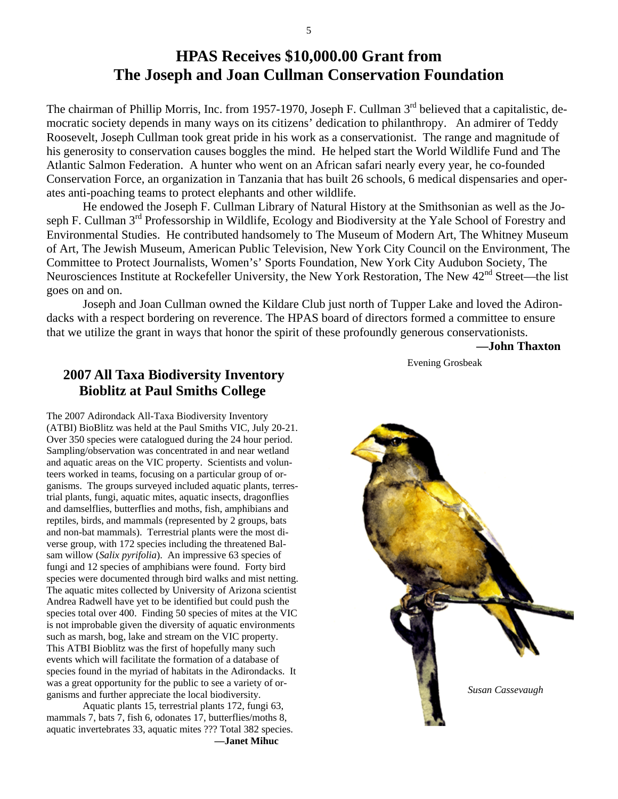# **HPAS Receives \$10,000.00 Grant from The Joseph and Joan Cullman Conservation Foundation**

The chairman of Phillip Morris, Inc. from 1957-1970, Joseph F. Cullman 3<sup>rd</sup> believed that a capitalistic, democratic society depends in many ways on its citizens' dedication to philanthropy. An admirer of Teddy Roosevelt, Joseph Cullman took great pride in his work as a conservationist. The range and magnitude of his generosity to conservation causes boggles the mind. He helped start the World Wildlife Fund and The Atlantic Salmon Federation. A hunter who went on an African safari nearly every year, he co-founded Conservation Force, an organization in Tanzania that has built 26 schools, 6 medical dispensaries and operates anti-poaching teams to protect elephants and other wildlife.

 He endowed the Joseph F. Cullman Library of Natural History at the Smithsonian as well as the Joseph F. Cullman 3<sup>rd</sup> Professorship in Wildlife, Ecology and Biodiversity at the Yale School of Forestry and Environmental Studies. He contributed handsomely to The Museum of Modern Art, The Whitney Museum of Art, The Jewish Museum, American Public Television, New York City Council on the Environment, The Committee to Protect Journalists, Women's' Sports Foundation, New York City Audubon Society, The Neurosciences Institute at Rockefeller University, the New York Restoration, The New 42nd Street—the list goes on and on.

 Joseph and Joan Cullman owned the Kildare Club just north of Tupper Lake and loved the Adirondacks with a respect bordering on reverence. The HPAS board of directors formed a committee to ensure that we utilize the grant in ways that honor the spirit of these profoundly generous conservationists.

 **—John Thaxton** 

## **2007 All Taxa Biodiversity Inventory Bioblitz at Paul Smiths College**

The 2007 Adirondack All-Taxa Biodiversity Inventory (ATBI) BioBlitz was held at the Paul Smiths VIC, July 20-21. Over 350 species were catalogued during the 24 hour period. Sampling/observation was concentrated in and near wetland and aquatic areas on the VIC property. Scientists and volunteers worked in teams, focusing on a particular group of organisms. The groups surveyed included aquatic plants, terrestrial plants, fungi, aquatic mites, aquatic insects, dragonflies and damselflies, butterflies and moths, fish, amphibians and reptiles, birds, and mammals (represented by 2 groups, bats and non-bat mammals). Terrestrial plants were the most diverse group, with 172 species including the threatened Balsam willow (*Salix pyrifolia*). An impressive 63 species of fungi and 12 species of amphibians were found. Forty bird species were documented through bird walks and mist netting. The aquatic mites collected by University of Arizona scientist Andrea Radwell have yet to be identified but could push the species total over 400. Finding 50 species of mites at the VIC is not improbable given the diversity of aquatic environments such as marsh, bog, lake and stream on the VIC property. This ATBI Bioblitz was the first of hopefully many such events which will facilitate the formation of a database of species found in the myriad of habitats in the Adirondacks. It was a great opportunity for the public to see a variety of organisms and further appreciate the local biodiversity.

 Aquatic plants 15, terrestrial plants 172, fungi 63, mammals 7, bats 7, fish 6, odonates 17, butterflies/moths 8, aquatic invertebrates 33, aquatic mites ??? Total 382 species. **—Janet Mihuc** 



Evening Grosbeak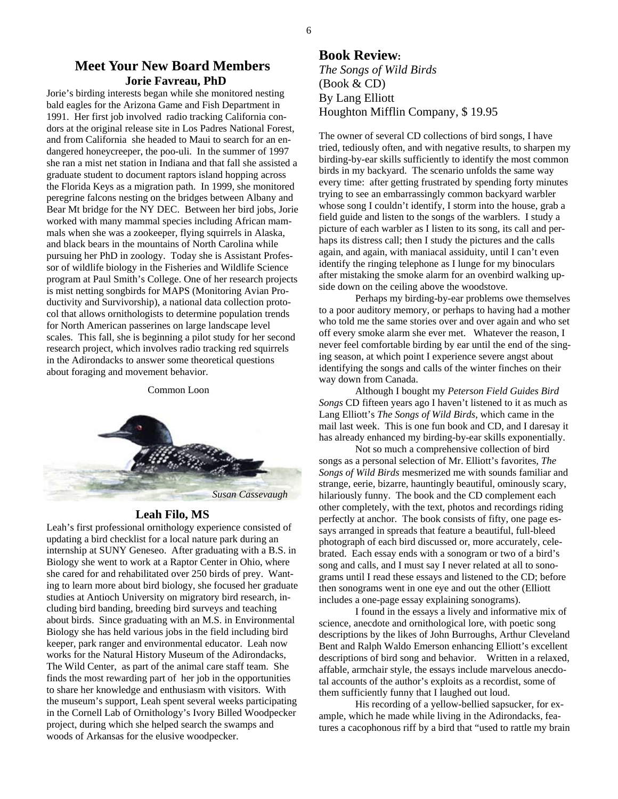#### **Meet Your New Board Members Jorie Favreau, PhD**

Jorie's birding interests began while she monitored nesting bald eagles for the Arizona Game and Fish Department in 1991. Her first job involved radio tracking California condors at the original release site in Los Padres National Forest, and from California she headed to Maui to search for an endangered honeycreeper, the poo-uli. In the summer of 1997 she ran a mist net station in Indiana and that fall she assisted a graduate student to document raptors island hopping across the Florida Keys as a migration path. In 1999, she monitored peregrine falcons nesting on the bridges between Albany and Bear Mt bridge for the NY DEC. Between her bird jobs, Jorie worked with many mammal species including African mammals when she was a zookeeper, flying squirrels in Alaska, and black bears in the mountains of North Carolina while pursuing her PhD in zoology. Today she is Assistant Professor of wildlife biology in the Fisheries and Wildlife Science program at Paul Smith's College. One of her research projects is mist netting songbirds for MAPS (Monitoring Avian Productivity and Survivorship), a national data collection protocol that allows ornithologists to determine population trends for North American passerines on large landscape level scales. This fall, she is beginning a pilot study for her second research project, which involves radio tracking red squirrels in the Adirondacks to answer some theoretical questions about foraging and movement behavior.

Common Loon



#### **Leah Filo, MS**

Leah's first professional ornithology experience consisted of updating a bird checklist for a local nature park during an internship at SUNY Geneseo. After graduating with a B.S. in Biology she went to work at a Raptor Center in Ohio, where she cared for and rehabilitated over 250 birds of prey. Wanting to learn more about bird biology, she focused her graduate studies at Antioch University on migratory bird research, including bird banding, breeding bird surveys and teaching about birds. Since graduating with an M.S. in Environmental Biology she has held various jobs in the field including bird keeper, park ranger and environmental educator. Leah now works for the Natural History Museum of the Adirondacks, The Wild Center, as part of the animal care staff team. She finds the most rewarding part of her job in the opportunities to share her knowledge and enthusiasm with visitors. With the museum's support, Leah spent several weeks participating in the Cornell Lab of Ornithology's Ivory Billed Woodpecker project, during which she helped search the swamps and woods of Arkansas for the elusive woodpecker.

#### **Book Review:** *The Songs of Wild Birds*  (Book & CD) By Lang Elliott Houghton Mifflin Company, \$ 19.95

The owner of several CD collections of bird songs, I have tried, tediously often, and with negative results, to sharpen my birding-by-ear skills sufficiently to identify the most common birds in my backyard. The scenario unfolds the same way every time: after getting frustrated by spending forty minutes trying to see an embarrassingly common backyard warbler whose song I couldn't identify, I storm into the house, grab a field guide and listen to the songs of the warblers. I study a picture of each warbler as I listen to its song, its call and perhaps its distress call; then I study the pictures and the calls again, and again, with maniacal assiduity, until I can't even identify the ringing telephone as I lunge for my binoculars after mistaking the smoke alarm for an ovenbird walking upside down on the ceiling above the woodstove.

 Perhaps my birding-by-ear problems owe themselves to a poor auditory memory, or perhaps to having had a mother who told me the same stories over and over again and who set off every smoke alarm she ever met. Whatever the reason, I never feel comfortable birding by ear until the end of the singing season, at which point I experience severe angst about identifying the songs and calls of the winter finches on their way down from Canada.

 Although I bought my *Peterson Field Guides Bird Songs* CD fifteen years ago I haven't listened to it as much as Lang Elliott's *The Songs of Wild Birds*, which came in the mail last week. This is one fun book and CD, and I daresay it has already enhanced my birding-by-ear skills exponentially.

 Not so much a comprehensive collection of bird songs as a personal selection of Mr. Elliott's favorites, *The Songs of Wild Birds* mesmerized me with sounds familiar and strange, eerie, bizarre, hauntingly beautiful, ominously scary, hilariously funny. The book and the CD complement each other completely, with the text, photos and recordings riding perfectly at anchor. The book consists of fifty, one page essays arranged in spreads that feature a beautiful, full-bleed photograph of each bird discussed or, more accurately, celebrated. Each essay ends with a sonogram or two of a bird's song and calls, and I must say I never related at all to sonograms until I read these essays and listened to the CD; before then sonograms went in one eye and out the other (Elliott includes a one-page essay explaining sonograms).

 I found in the essays a lively and informative mix of science, anecdote and ornithological lore, with poetic song descriptions by the likes of John Burroughs, Arthur Cleveland Bent and Ralph Waldo Emerson enhancing Elliott's excellent descriptions of bird song and behavior. Written in a relaxed, affable, armchair style, the essays include marvelous anecdotal accounts of the author's exploits as a recordist, some of them sufficiently funny that I laughed out loud.

 His recording of a yellow-bellied sapsucker, for example, which he made while living in the Adirondacks, features a cacophonous riff by a bird that "used to rattle my brain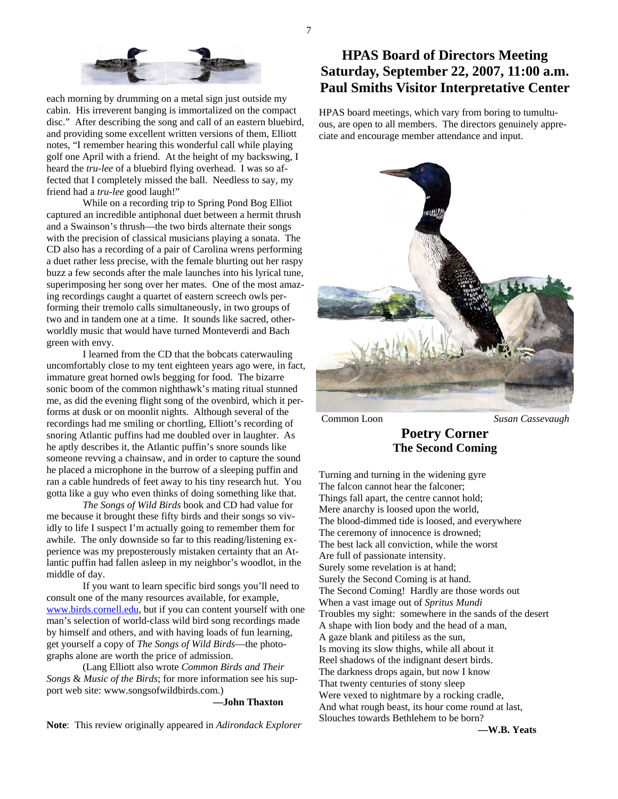

each morning by drumming on a metal sign just outside my cabin. His irreverent banging is immortalized on the compact disc." After describing the song and call of an eastern bluebird, and providing some excellent written versions of them, Elliott notes, "I remember hearing this wonderful call while playing golf one April with a friend. At the height of my backswing, I heard the *tru-lee* of a bluebird flying overhead. I was so affected that I completely missed the ball. Needless to say, my friend had a *tru-lee* good laugh!"

 While on a recording trip to Spring Pond Bog Elliot captured an incredible antiphonal duet between a hermit thrush and a Swainson's thrush—the two birds alternate their songs with the precision of classical musicians playing a sonata. The CD also has a recording of a pair of Carolina wrens performing a duet rather less precise, with the female blurting out her raspy buzz a few seconds after the male launches into his lyrical tune, superimposing her song over her mates. One of the most amazing recordings caught a quartet of eastern screech owls performing their tremolo calls simultaneously, in two groups of two and in tandem one at a time. It sounds like sacred, otherworldly music that would have turned Monteverdi and Bach green with envy.

 I learned from the CD that the bobcats caterwauling uncomfortably close to my tent eighteen years ago were, in fact, immature great horned owls begging for food. The bizarre sonic boom of the common nighthawk's mating ritual stunned me, as did the evening flight song of the ovenbird, which it performs at dusk or on moonlit nights. Although several of the recordings had me smiling or chortling, Elliott's recording of snoring Atlantic puffins had me doubled over in laughter. As he aptly describes it, the Atlantic puffin's snore sounds like someone revving a chainsaw, and in order to capture the sound he placed a microphone in the burrow of a sleeping puffin and ran a cable hundreds of feet away to his tiny research hut. You gotta like a guy who even thinks of doing something like that.

*The Songs of Wild Birds* book and CD had value for me because it brought these fifty birds and their songs so vividly to life I suspect I'm actually going to remember them for awhile. The only downside so far to this reading/listening experience was my preposterously mistaken certainty that an Atlantic puffin had fallen asleep in my neighbor's woodlot, in the middle of day.

 If you want to learn specific bird songs you'll need to consult one of the many resources available, for example, www.birds.cornell.edu, but if you can content yourself with one man's selection of world-class wild bird song recordings made by himself and others, and with having loads of fun learning, get yourself a copy of *The Songs of Wild Birds*—the photographs alone are worth the price of admission.

 (Lang Elliott also wrote *Common Birds and Their Songs* & *Music of the Birds*; for more information see his support web site: www.songsofwildbirds.com.)

**—John Thaxton** 

**Note**: This review originally appeared in *Adirondack Explorer*

### **HPAS Board of Directors Meeting Saturday, September 22, 2007, 11:00 a.m. Paul Smiths Visitor Interpretative Center**

HPAS board meetings, which vary from boring to tumultuous, are open to all members. The directors genuinely appreciate and encourage member attendance and input.



Common Loon *Susan Cassevaugh*

#### **Poetry Corner The Second Coming**

Turning and turning in the widening gyre The falcon cannot hear the falconer; Things fall apart, the centre cannot hold; Mere anarchy is loosed upon the world, The blood-dimmed tide is loosed, and everywhere The ceremony of innocence is drowned; The best lack all conviction, while the worst Are full of passionate intensity. Surely some revelation is at hand; Surely the Second Coming is at hand. The Second Coming! Hardly are those words out When a vast image out of *Spritus Mundi*  Troubles my sight: somewhere in the sands of the desert A shape with lion body and the head of a man, A gaze blank and pitiless as the sun, Is moving its slow thighs, while all about it Reel shadows of the indignant desert birds. The darkness drops again, but now I know That twenty centuries of stony sleep Were vexed to nightmare by a rocking cradle, And what rough beast, its hour come round at last, Slouches towards Bethlehem to be born?

**—W.B. Yeats**